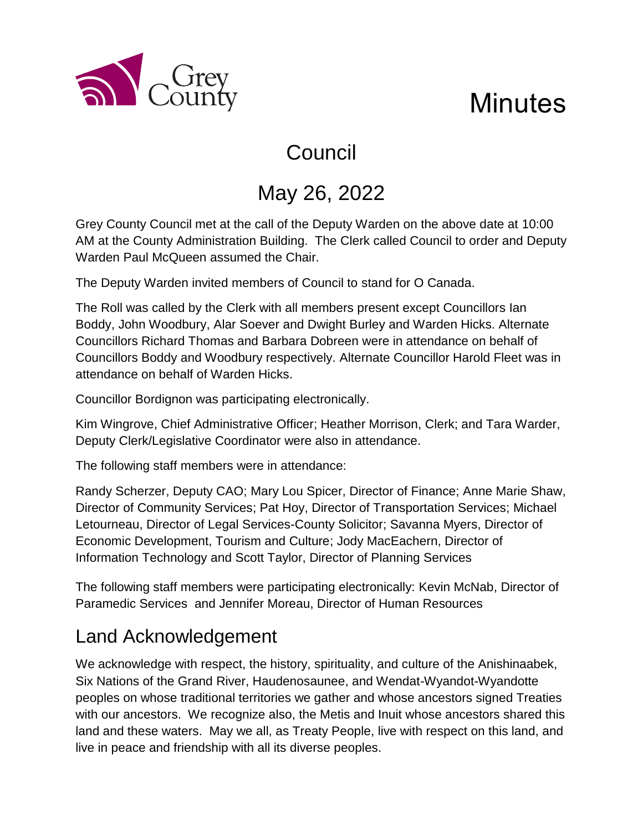

# **Minutes**

# Council

# May 26, 2022

Grey County Council met at the call of the Deputy Warden on the above date at 10:00 AM at the County Administration Building. The Clerk called Council to order and Deputy Warden Paul McQueen assumed the Chair.

The Deputy Warden invited members of Council to stand for O Canada.

The Roll was called by the Clerk with all members present except Councillors Ian Boddy, John Woodbury, Alar Soever and Dwight Burley and Warden Hicks. Alternate Councillors Richard Thomas and Barbara Dobreen were in attendance on behalf of Councillors Boddy and Woodbury respectively. Alternate Councillor Harold Fleet was in attendance on behalf of Warden Hicks.

Councillor Bordignon was participating electronically.

Kim Wingrove, Chief Administrative Officer; Heather Morrison, Clerk; and Tara Warder, Deputy Clerk/Legislative Coordinator were also in attendance.

The following staff members were in attendance:

Randy Scherzer, Deputy CAO; Mary Lou Spicer, Director of Finance; Anne Marie Shaw, Director of Community Services; Pat Hoy, Director of Transportation Services; Michael Letourneau, Director of Legal Services-County Solicitor; Savanna Myers, Director of Economic Development, Tourism and Culture; Jody MacEachern, Director of Information Technology and Scott Taylor, Director of Planning Services

The following staff members were participating electronically: Kevin McNab, Director of Paramedic Services and Jennifer Moreau, Director of Human Resources

## Land Acknowledgement

We acknowledge with respect, the history, spirituality, and culture of the Anishinaabek, Six Nations of the Grand River, Haudenosaunee, and Wendat-Wyandot-Wyandotte peoples on whose traditional territories we gather and whose ancestors signed Treaties with our ancestors. We recognize also, the Metis and Inuit whose ancestors shared this land and these waters. May we all, as Treaty People, live with respect on this land, and live in peace and friendship with all its diverse peoples.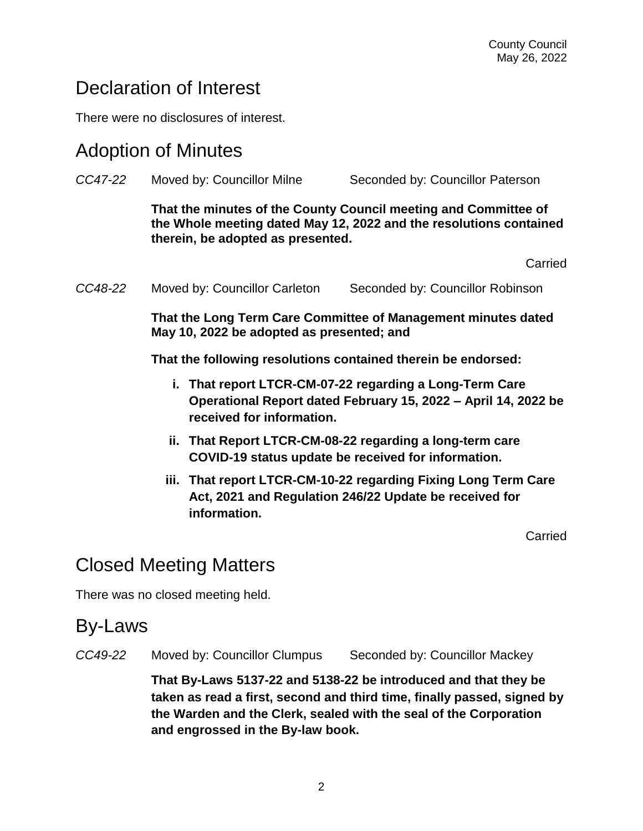### Declaration of Interest

There were no disclosures of interest.

#### Adoption of Minutes

| CC47-22 | Moved by: Councillor Milne                                                                                                                                                 | Seconded by: Councillor Paterson |
|---------|----------------------------------------------------------------------------------------------------------------------------------------------------------------------------|----------------------------------|
|         | That the minutes of the County Council meeting and Committee of<br>the Whole meeting dated May 12, 2022 and the resolutions contained<br>therein, be adopted as presented. |                                  |
|         |                                                                                                                                                                            | Carried                          |
| CC48-22 | Moved by: Councillor Carleton                                                                                                                                              | Seconded by: Councillor Robinson |
|         | That the Long Term Care Committee of Management minutes dated<br>May 10, 2022 be adopted as presented; and                                                                 |                                  |
|         | That the following resolutions contained therein be endorsed:                                                                                                              |                                  |
|         | i. That report LTCR-CM-07-22 regarding a Long-Term Care<br>Operational Report dated February 15, 2022 – April 14, 2022 be<br>received for information.                     |                                  |
|         | ii. That Report LTCR-CM-08-22 regarding a long-term care<br>COVID-19 status update be received for information.                                                            |                                  |
|         | iji That report I TCR-CM-10-22 regarding Fixing Long Term Care                                                                                                             |                                  |

**iii. That report LTCR-CM-10-22 regarding Fixing Long Term Care Act, 2021 and Regulation 246/22 Update be received for information.**

Carried

### Closed Meeting Matters

There was no closed meeting held.

#### By-Laws

*CC49-22* Moved by: Councillor Clumpus Seconded by: Councillor Mackey

**That By-Laws 5137-22 and 5138-22 be introduced and that they be taken as read a first, second and third time, finally passed, signed by the Warden and the Clerk, sealed with the seal of the Corporation and engrossed in the By-law book.**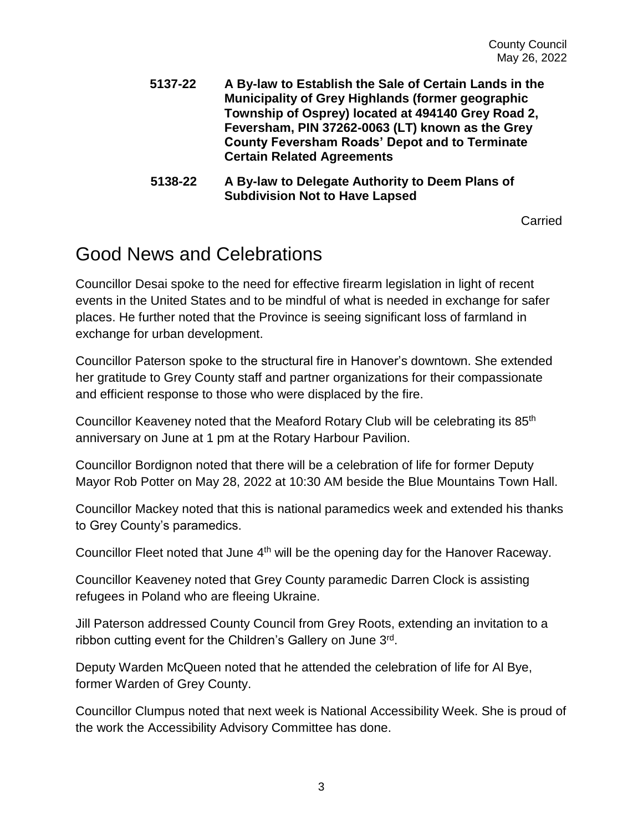- **5137-22 A By-law to Establish the Sale of Certain Lands in the Municipality of Grey Highlands (former geographic Township of Osprey) located at 494140 Grey Road 2, Feversham, PIN 37262-0063 (LT) known as the Grey County Feversham Roads' Depot and to Terminate Certain Related Agreements**
- **5138-22 A By-law to Delegate Authority to Deem Plans of Subdivision Not to Have Lapsed**

**Carried** 

#### Good News and Celebrations

Councillor Desai spoke to the need for effective firearm legislation in light of recent events in the United States and to be mindful of what is needed in exchange for safer places. He further noted that the Province is seeing significant loss of farmland in exchange for urban development.

Councillor Paterson spoke to the structural fire in Hanover's downtown. She extended her gratitude to Grey County staff and partner organizations for their compassionate and efficient response to those who were displaced by the fire.

Councillor Keaveney noted that the Meaford Rotary Club will be celebrating its 85th anniversary on June at 1 pm at the Rotary Harbour Pavilion.

Councillor Bordignon noted that there will be a celebration of life for former Deputy Mayor Rob Potter on May 28, 2022 at 10:30 AM beside the Blue Mountains Town Hall.

Councillor Mackey noted that this is national paramedics week and extended his thanks to Grey County's paramedics.

Councillor Fleet noted that June 4<sup>th</sup> will be the opening day for the Hanover Raceway.

Councillor Keaveney noted that Grey County paramedic Darren Clock is assisting refugees in Poland who are fleeing Ukraine.

Jill Paterson addressed County Council from Grey Roots, extending an invitation to a ribbon cutting event for the Children's Gallery on June 3rd.

Deputy Warden McQueen noted that he attended the celebration of life for Al Bye, former Warden of Grey County.

Councillor Clumpus noted that next week is National Accessibility Week. She is proud of the work the Accessibility Advisory Committee has done.